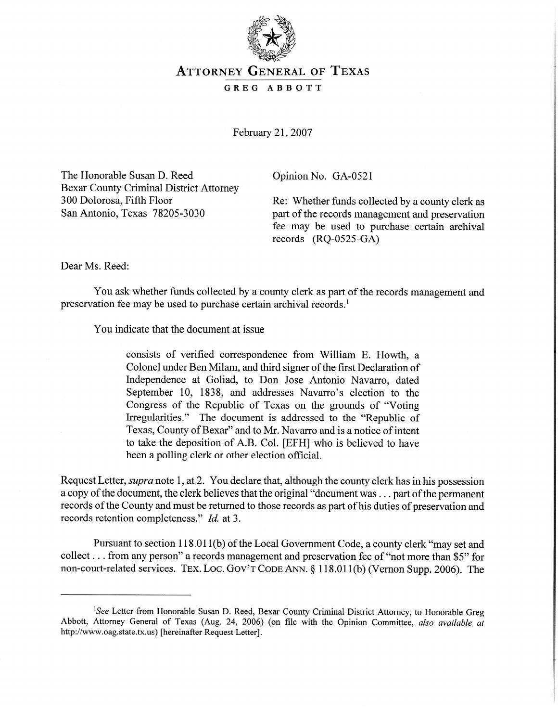

## **ATTORNEY GENERAL OF TEXAS**

**GREG ABBOTT** 

February 21,2007

The Honorable Susan D. Reed Bexar County Criminal District Attorney 300 Dolorosa, Fifth Floor

Opinion No. GA-0521

Re: Whether funds collected by a county clerk as San Antonio, Texas 78205-3030 part of the records management and preservation fee may be used to purchase certain archival records (RQ-0525-GA)

Dear Ms. Reed:

I ou was whether funds conceived by a county clerk as part of the records management and preservation fee may be used to purchase certain archival rec0rds.l

**You indicate that the document at issue** 

consists of verified correspondence from William E. Howth, a Independence at Goliad, to Don Jose Antonio Navarro, dated September 10, 1838, and addresses Navarro's election to the Congress of the Republic of Texas on the grounds of "Voting" Irregularities." The document is addressed to the "Republic of Texas, County of Bexar" and to Mr. Navarro and is a notice of intent to take the deposition of A.B. Col. [EFH] who is believed to have been a polling clerk or other election official.

Request Letter, *supra* note 1, at 2. You declare that, although the county clerk has in his possession a copy of the document, the clerk believes that the original "document was  $\ldots$  part of the permanent records of the County and must be returned to those records as part of his duties of preservation and records retention completeness." *Id.* at 3.

Pursuant to section 118.011(b) of the Local Government Code, a county clerk "may set and collect  $\ldots$  from any person" a records management and preservation fee of "not more than \$5" for non-court-related services. TEX. LOC. GOV'T CODE ANN. § 118.011(b) (Vernon Supp. 2006). The

<sup>&</sup>lt;sup>1</sup>See Letter from Honorable Susan D. Reed, Bexar County Criminal District Attorney, to Honorable Greg Abbott, Attorney General of Texas (Aug. 24, 2006) (on file with the Opinion Committee, also available at http://www.oag.state.tx.us) [hereinafter Request Letter].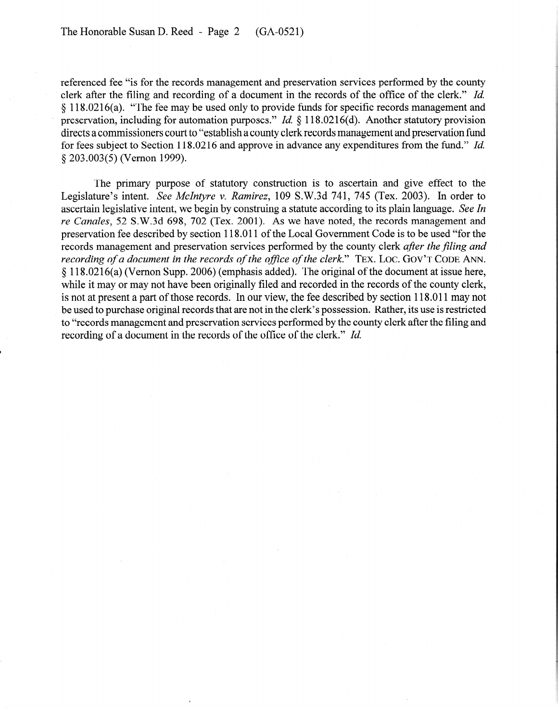referenced fee "is for the records management and preservation services performed by the county clerk after the filing and recording of a document in the records of the office of the clerk." *Id.*   $§$  118.0216(a). "The fee may be used only to provide funds for specific records management and preservation, including for automation purposes." *Id.* § 118.0216(d). Another statutory provision directs a commissioners court to "establish a county clerk records management and preservation fund for fees subject to Section 118.02 16 and approve in advance any expenditures from the fund." *Id.*  § 203.003(5) (Vernon 1999).

The primary purpose of statutory construction is to ascertain and give effect to the Legislature's intent. See *McIntyre* v. Ramirez, 109 S.W.3d 741, 745 (Tex. 2003). In order to ascertain legislative intent, we begin by construing a statute according to its plain language. See *In*  re *Canales,* 52 S.W.3d 698, 702 (Tex. 2001). As we have noted, the records management and preservation fee described by section 118.0 11 of the Local Government Code is to be used "for the records management and preservation services performed by the county clerk *afler the filing and*   $\frac{1}{2}$  118.0216(a) (Vernon Supp. 2006) (emphasis added). The original of the document at issue here, while it may or may not have been originally filed and recorded in the records of the county clerk, is not at present a part of those records. In our view, the fee described by section 118.011 may not be used to purchase original records that are not in the clerk's possession. Rather, its use is restricted to "records management and preservation services performed by the county clerk after the filing and  $t_{\rm c}$  records management and preservation services performed by the county clerk after the filing and recording of a document in the records of the office of the clerk." *Id.*